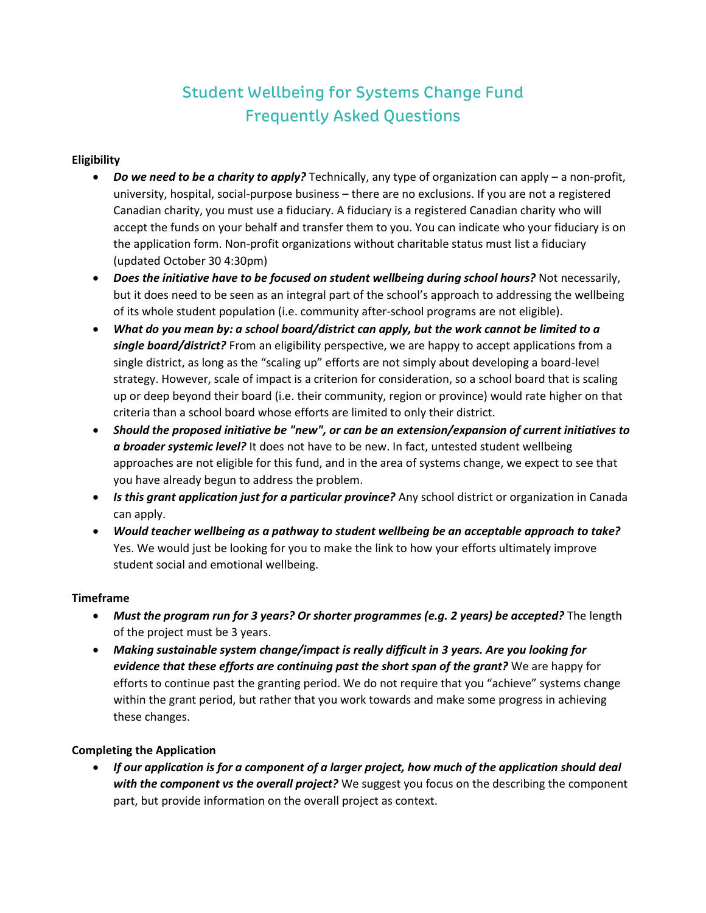# **Student Wellbeing for Systems Change Fund Frequently Asked Questions**

## **Eligibility**

- *Do we need to be a charity to apply?* Technically, any type of organization can apply a non-profit, university, hospital, social-purpose business – there are no exclusions. If you are not a registered Canadian charity, you must use a fiduciary. A fiduciary is a registered Canadian charity who will accept the funds on your behalf and transfer them to you. You can indicate who your fiduciary is on the application form. Non-profit organizations without charitable status must list a fiduciary (updated October 30 4:30pm)
- *Does the initiative have to be focused on student wellbeing during school hours?* Not necessarily, but it does need to be seen as an integral part of the school's approach to addressing the wellbeing of its whole student population (i.e. community after-school programs are not eligible).
- *What do you mean by: a school board/district can apply, but the work cannot be limited to a single board/district?* From an eligibility perspective, we are happy to accept applications from a single district, as long as the "scaling up" efforts are not simply about developing a board-level strategy. However, scale of impact is a criterion for consideration, so a school board that is scaling up or deep beyond their board (i.e. their community, region or province) would rate higher on that criteria than a school board whose efforts are limited to only their district.
- *Should the proposed initiative be "new", or can be an extension/expansion of current initiatives to a broader systemic level?* It does not have to be new. In fact, untested student wellbeing approaches are not eligible for this fund, and in the area of systems change, we expect to see that you have already begun to address the problem.
- *Is this grant application just for a particular province?* Any school district or organization in Canada can apply.
- *Would teacher wellbeing as a pathway to student wellbeing be an acceptable approach to take?*  Yes. We would just be looking for you to make the link to how your efforts ultimately improve student social and emotional wellbeing.

#### **Timeframe**

- *Must the program run for 3 years? Or shorter programmes (e.g. 2 years) be accepted?* The length of the project must be 3 years.
- *Making sustainable system change/impact is really difficult in 3 years. Are you looking for evidence that these efforts are continuing past the short span of the grant?* We are happy for efforts to continue past the granting period. We do not require that you "achieve" systems change within the grant period, but rather that you work towards and make some progress in achieving these changes.

#### **Completing the Application**

• *If our application is for a component of a larger project, how much of the application should deal with the component vs the overall project?* We suggest you focus on the describing the component part, but provide information on the overall project as context.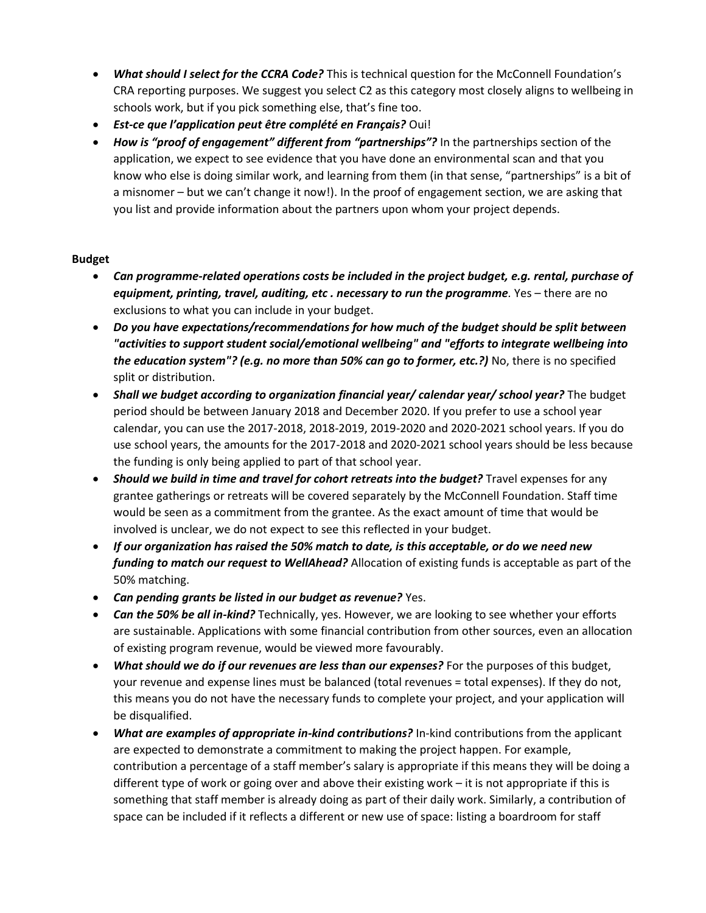- *What should I select for the CCRA Code?* This is technical question for the McConnell Foundation's CRA reporting purposes. We suggest you select C2 as this category most closely aligns to wellbeing in schools work, but if you pick something else, that's fine too.
- *Est-ce que l'application peut être complété en Français?* Oui!
- *How is "proof of engagement" different from "partnerships"?* In the partnerships section of the application, we expect to see evidence that you have done an environmental scan and that you know who else is doing similar work, and learning from them (in that sense, "partnerships" is a bit of a misnomer – but we can't change it now!). In the proof of engagement section, we are asking that you list and provide information about the partners upon whom your project depends.

## **Budget**

- *Can programme-related operations costs be included in the project budget, e.g. rental, purchase of equipment, printing, travel, auditing, etc . necessary to run the programme.* Yes – there are no exclusions to what you can include in your budget.
- *Do you have expectations/recommendations for how much of the budget should be split between "activities to support student social/emotional wellbeing" and "efforts to integrate wellbeing into the education system"? (e.g. no more than 50% can go to former, etc.?)* No, there is no specified split or distribution.
- *Shall we budget according to organization financial year/ calendar year/ school year?* The budget period should be between January 2018 and December 2020. If you prefer to use a school year calendar, you can use the 2017-2018, 2018-2019, 2019-2020 and 2020-2021 school years. If you do use school years, the amounts for the 2017-2018 and 2020-2021 school years should be less because the funding is only being applied to part of that school year.
- *Should we build in time and travel for cohort retreats into the budget?* Travel expenses for any grantee gatherings or retreats will be covered separately by the McConnell Foundation. Staff time would be seen as a commitment from the grantee. As the exact amount of time that would be involved is unclear, we do not expect to see this reflected in your budget.
- *If our organization has raised the 50% match to date, is this acceptable, or do we need new funding to match our request to WellAhead?* Allocation of existing funds is acceptable as part of the 50% matching.
- *Can pending grants be listed in our budget as revenue?* Yes.
- *Can the 50% be all in-kind?* Technically, yes. However, we are looking to see whether your efforts are sustainable. Applications with some financial contribution from other sources, even an allocation of existing program revenue, would be viewed more favourably.
- *What should we do if our revenues are less than our expenses?* For the purposes of this budget, your revenue and expense lines must be balanced (total revenues = total expenses). If they do not, this means you do not have the necessary funds to complete your project, and your application will be disqualified.
- *What are examples of appropriate in-kind contributions?* In-kind contributions from the applicant are expected to demonstrate a commitment to making the project happen. For example, contribution a percentage of a staff member's salary is appropriate if this means they will be doing a different type of work or going over and above their existing work – it is not appropriate if this is something that staff member is already doing as part of their daily work. Similarly, a contribution of space can be included if it reflects a different or new use of space: listing a boardroom for staff